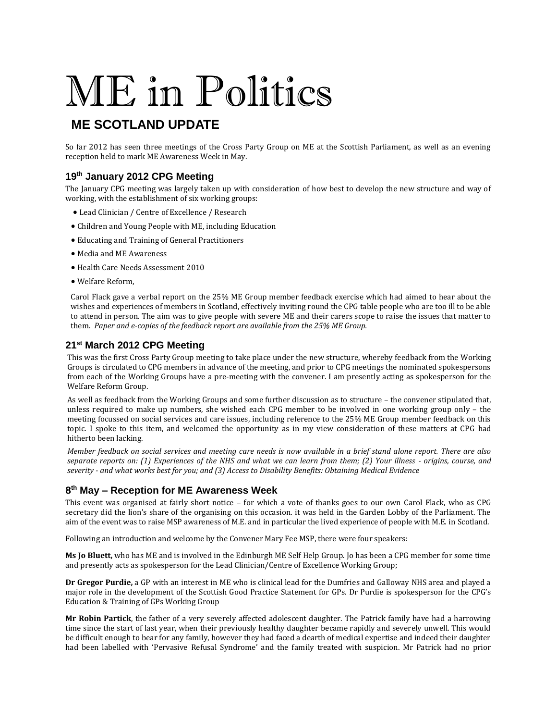# ME in Politics

# **ME SCOTLAND UPDATE**

So far 2012 has seen three meetings of the Cross Party Group on ME at the Scottish Parliament, as well as an evening reception held to mark ME Awareness Week in May.

#### **19th January 2012 CPG Meeting**

The January CPG meeting was largely taken up with consideration of how best to develop the new structure and way of working, with the establishment of six working groups:

- Lead Clinician / Centre of Excellence / Research
- Children and Young People with ME, including Education
- Educating and Training of General Practitioners
- Media and ME Awareness
- Health Care Needs Assessment 2010
- Welfare Reform,

Carol Flack gave a verbal report on the 25% ME Group member feedback exercise which had aimed to hear about the wishes and experiences of members in Scotland, effectively inviting round the CPG table people who are too ill to be able to attend in person. The aim was to give people with severe ME and their carers scope to raise the issues that matter to them. *Paper and e-copies of the feedback report are available from the 25% ME Group.*

#### **21st March 2012 CPG Meeting**

This was the first Cross Party Group meeting to take place under the new structure, whereby feedback from the Working Groups is circulated to CPG members in advance of the meeting, and prior to CPG meetings the nominated spokespersons from each of the Working Groups have a pre-meeting with the convener. I am presently acting as spokesperson for the Welfare Reform Group.

As well as feedback from the Working Groups and some further discussion as to structure – the convener stipulated that, unless required to make up numbers, she wished each CPG member to be involved in one working group only – the meeting focussed on social services and care issues, including reference to the 25% ME Group member feedback on this topic. I spoke to this item, and welcomed the opportunity as in my view consideration of these matters at CPG had hitherto been lacking.

*Member feedback on social services and meeting care needs is now available in a brief stand alone report. There are also separate reports on: (1) Experiences of the NHS and what we can learn from them; (2) Your illness - origins, course, and severity - and what works best for you; and (3) Access to Disability Benefits: Obtaining Medical Evidence*

## **8 th May – Reception for ME Awareness Week**

This event was organised at fairly short notice – for which a vote of thanks goes to our own Carol Flack, who as CPG secretary did the lion's share of the organising on this occasion. it was held in the Garden Lobby of the Parliament. The aim of the event was to raise MSP awareness of M.E. and in particular the lived experience of people with M.E. in Scotland.

Following an introduction and welcome by the Convener Mary Fee MSP, there were four speakers:

**Ms Jo Bluett,** who has ME and is involved in the Edinburgh ME Self Help Group. Jo has been a CPG member for some time and presently acts as spokesperson for the Lead Clinician/Centre of Excellence Working Group;

**Dr Gregor Purdie,** a GP with an interest in ME who is clinical lead for the Dumfries and Galloway NHS area and played a major role in the development of the Scottish Good Practice Statement for GPs. Dr Purdie is spokesperson for the CPG's Education & Training of GPs Working Group

**Mr Robin Partick**, the father of a very severely affected adolescent daughter. The Patrick family have had a harrowing time since the start of last year, when their previously healthy daughter became rapidly and severely unwell. This would be difficult enough to bear for any family, however they had faced a dearth of medical expertise and indeed their daughter had been labelled with 'Pervasive Refusal Syndrome' and the family treated with suspicion. Mr Patrick had no prior